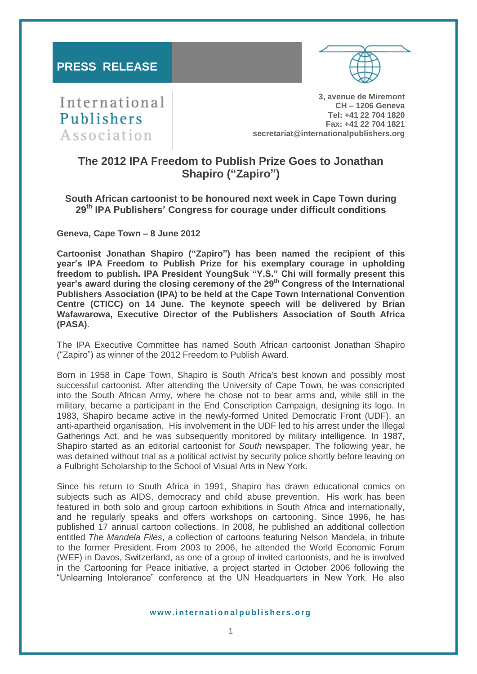# **PRESS RELEASE**

International Publishers Association

**3, avenue de Miremont CH – 1206 Geneva Tel: +41 22 704 1820 Fax: +41 22 704 1821 secretariat@internationalpublishers.org**

# **The 2012 IPA Freedom to Publish Prize Goes to Jonathan Shapiro ("Zapiro")**

**South African cartoonist to be honoured next week in Cape Town during 29th IPA Publishers' Congress for courage under difficult conditions**

**Geneva, Cape Town – 8 June 2012**

**Cartoonist Jonathan Shapiro ("Zapiro") has been named the recipient of this year's IPA Freedom to Publish Prize for his exemplary courage in upholding freedom to publish. IPA President YoungSuk "Y.S." Chi will formally present this year's award during the closing ceremony of the 29th Congress of the International Publishers Association (IPA) to be held at the Cape Town International Convention Centre (CTICC) on 14 June. The keynote speech will be delivered by Brian Wafawarowa, Executive Director of the Publishers Association of South Africa (PASA)**.

The IPA Executive Committee has named South African cartoonist Jonathan Shapiro ("Zapiro") as winner of the 2012 Freedom to Publish Award.

Born in 1958 in Cape Town, Shapiro is South Africa's best known and possibly most successful cartoonist. After attending the University of Cape Town, he was conscripted into the South African Army, where he chose not to bear arms and, while still in the military, became a participant in the [End Conscription Campaign,](http://en.wikipedia.org/wiki/End_Conscription_Campaign) designing its logo. In 1983, Shapiro became active in the newly-formed United Democratic Front (UDF), an anti-apartheid organisation. His involvement in the UDF led to his arrest under the Illegal Gatherings Act, and he was subsequently monitored by military intelligence. In 1987, Shapiro started as an editorial cartoonist for *South* newspaper. The following year, he was detained without trial as a political activist by security police shortly before leaving on a Fulbright Scholarship to the School of Visual Arts in New York.

Since his return to South Africa in 1991, Shapiro has drawn educational comics on subjects such as AIDS, democracy and child abuse prevention. His work has been featured in both solo and group cartoon exhibitions in South Africa and internationally, and he regularly speaks and offers workshops on cartooning. Since 1996, he has published 17 annual cartoon collections. In 2008, he published an additional collection entitled *The Mandela Files*, a collection of cartoons featuring Nelson Mandela, in tribute to the former President. From 2003 to 2006, he attended the World Economic Forum (WEF) in Davos, Switzerland, as one of a group of invited cartoonists, and he is involved in the Cartooning for Peace initiative, a project started in October 2006 following the "Unlearning Intolerance" conference at the UN Headquarters in New York. He also

#### **w w w . i n t e r n a t i o n a l p u b l i s h e r s . o r g**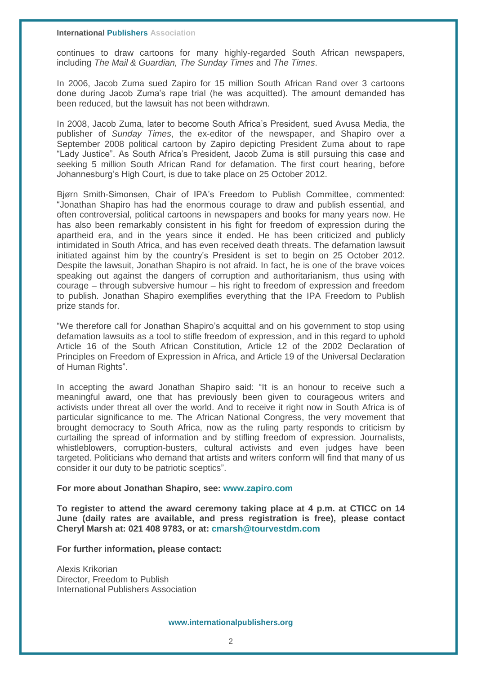**International Publishers Association** 

continues to draw cartoons for many highly-regarded South African newspapers, including *The Mail & Guardian, The Sunday Times* and *The Times*.

In 2006, Jacob Zuma sued Zapiro for 15 million South African Rand over 3 cartoons done during Jacob Zuma's rape trial (he was acquitted). The amount demanded has been reduced, but the lawsuit has not been withdrawn.

In 2008, Jacob Zuma, later to become South Africa's President, sued Avusa Media, the publisher of *Sunday Times*, the ex-editor of the newspaper, and Shapiro over a September 2008 political cartoon by Zapiro depicting President Zuma about to rape "Lady Justice". As South Africa's President, Jacob Zuma is still pursuing this case and seeking 5 million South African Rand for defamation. The first court hearing, before Johannesburg's High Court, is due to take place on 25 October 2012.

Bjørn Smith-Simonsen, Chair of IPA's Freedom to Publish Committee, commented: "Jonathan Shapiro has had the enormous courage to draw and publish essential, and often controversial, political cartoons in newspapers and books for many years now. He has also been remarkably consistent in his fight for freedom of expression during the apartheid era, and in the years since it ended. He has been criticized and publicly intimidated in South Africa, and has even received death threats. The defamation lawsuit initiated against him by the country's President is set to begin on 25 October 2012. Despite the lawsuit, Jonathan Shapiro is not afraid. In fact, he is one of the brave voices speaking out against the dangers of corruption and authoritarianism, thus using with courage – through subversive humour – his right to freedom of expression and freedom to publish. Jonathan Shapiro exemplifies everything that the IPA Freedom to Publish prize stands for.

"We therefore call for Jonathan Shapiro's acquittal and on his government to stop using defamation lawsuits as a tool to stifle freedom of expression, and in this regard to uphold Article 16 of the South African Constitution, Article 12 of the 2002 Declaration of Principles on Freedom of Expression in Africa, and Article 19 of the Universal Declaration of Human Rights".

In accepting the award Jonathan Shapiro said: "It is an honour to receive such a meaningful award, one that has previously been given to courageous writers and activists under threat all over the world. And to receive it right now in South Africa is of particular significance to me. The African National Congress, the very movement that brought democracy to South Africa, now as the ruling party responds to criticism by curtailing the spread of information and by stifling freedom of expression. Journalists, whistleblowers, corruption-busters, cultural activists and even judges have been targeted. Politicians who demand that artists and writers conform will find that many of us consider it our duty to be patriotic sceptics".

## **For more about Jonathan Shapiro, see: www.zapiro.com**

**To register to attend the award ceremony taking place at 4 p.m. at CTICC on 14 June (daily rates are available, and press registration is free), please contact Cheryl Marsh at: 021 408 9783, or at: [cmarsh@tourvestdm.com](mailto:cmarsh@tourvestdm.com)**

**For further information, please contact:**

Alexis Krikorian Director, Freedom to Publish International Publishers Association

**www.internationalpublishers.org**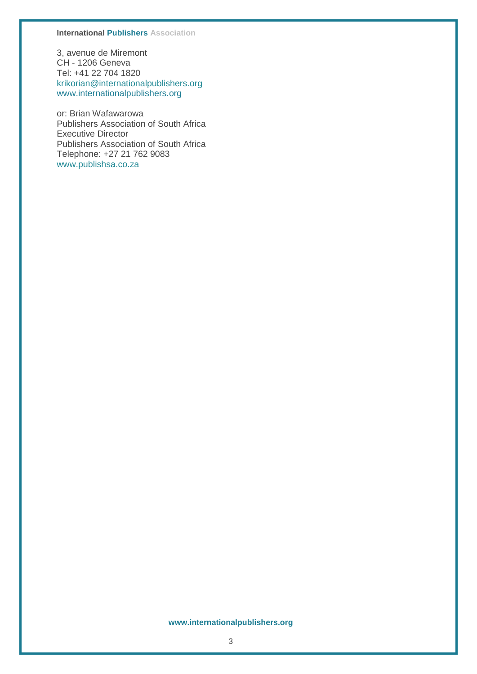#### **International Publishers Association**

3, avenue de Miremont CH - 1206 Geneva Tel: +41 22 704 1820 [krikorian@internationalpublishers.org](mailto:krikorian@internationalpublishers.org) [www.internationalpublishers.org](http://www.internationalpublishers.org/)

or: Brian Wafawarowa Publishers Association of South Africa Executive Director Publishers Association of South Africa Telephone: +27 21 762 9083 [www.publishsa.co.za](http://www.publishsa.co.za/)

#### **www.internationalpublishers.org**